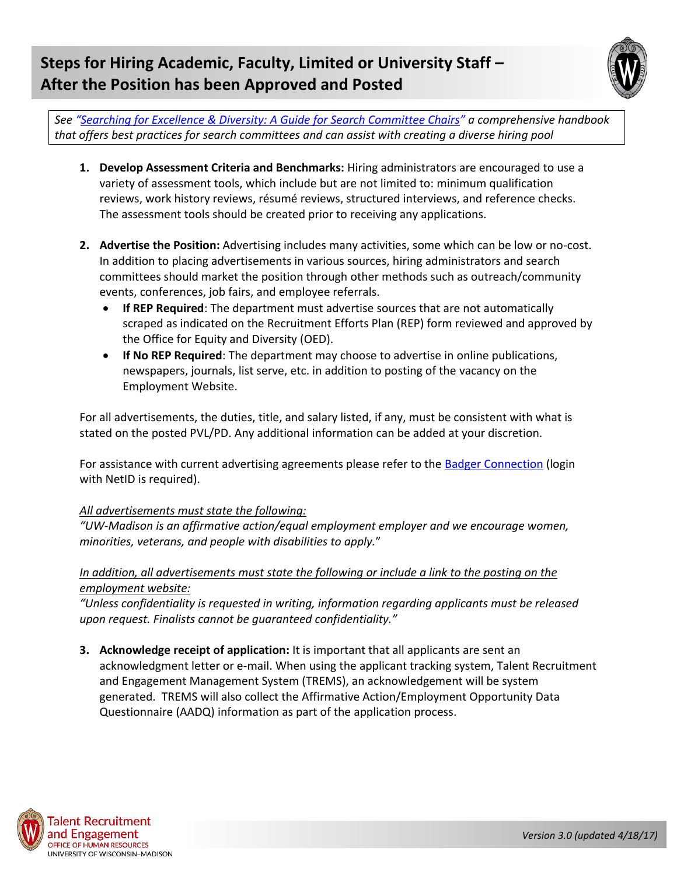# **Steps for Hiring Academic, Faculty, Limited or University Staff – After the Position has been Approved and Posted**



*See "[Searching for Excellence & Diversity: A Guide for Search Committee Chairs](http://wiseli.engr.wisc.edu/searchguidebooks.php)" a comprehensive handbook that offers best practices for search committees and can assist with creating a diverse hiring pool*

- **1. Develop Assessment Criteria and Benchmarks:** Hiring administrators are encouraged to use a variety of assessment tools, which include but are not limited to: minimum qualification reviews, work history reviews, résumé reviews, structured interviews, and reference checks. The assessment tools should be created prior to receiving any applications.
- **2. Advertise the Position:** Advertising includes many activities, some which can be low or no-cost. In addition to placing advertisements in various sources, hiring administrators and search committees should market the position through other methods such as outreach/community events, conferences, job fairs, and employee referrals.
	- **If REP Required**: The department must advertise sources that are not automatically scraped as indicated on the Recruitment Efforts Plan (REP) form reviewed and approved by the Office for Equity and Diversity (OED).
	- **If No REP Required**: The department may choose to advertise in online publications, newspapers, journals, list serve, etc. in addition to posting of the vacancy on the Employment Website.

For all advertisements, the duties, title, and salary listed, if any, must be consistent with what is stated on the posted PVL/PD. Any additional information can be added at your discretion.

For assistance with current advertising agreements please refer to the [Badger Connection](https://recruitment.wisc.edu/RecruitmentHelp/RecruitmentResourceSearch) (login with NetID is required).

## *All advertisements must state the following:*

*"UW-Madison is an affirmative action/equal employment employer and we encourage women, minorities, veterans, and people with disabilities to apply.*"

## *In addition, all advertisements must state the following or include a link to the posting on the employment website:*

*"Unless confidentiality is requested in writing, information regarding applicants must be released upon request. Finalists cannot be guaranteed confidentiality."* 

**3. Acknowledge receipt of application:** It is important that all applicants are sent an acknowledgment letter or e-mail. When using the applicant tracking system, Talent Recruitment and Engagement Management System (TREMS), an acknowledgement will be system generated. TREMS will also collect the Affirmative Action/Employment Opportunity Data Questionnaire (AADQ) information as part of the application process.

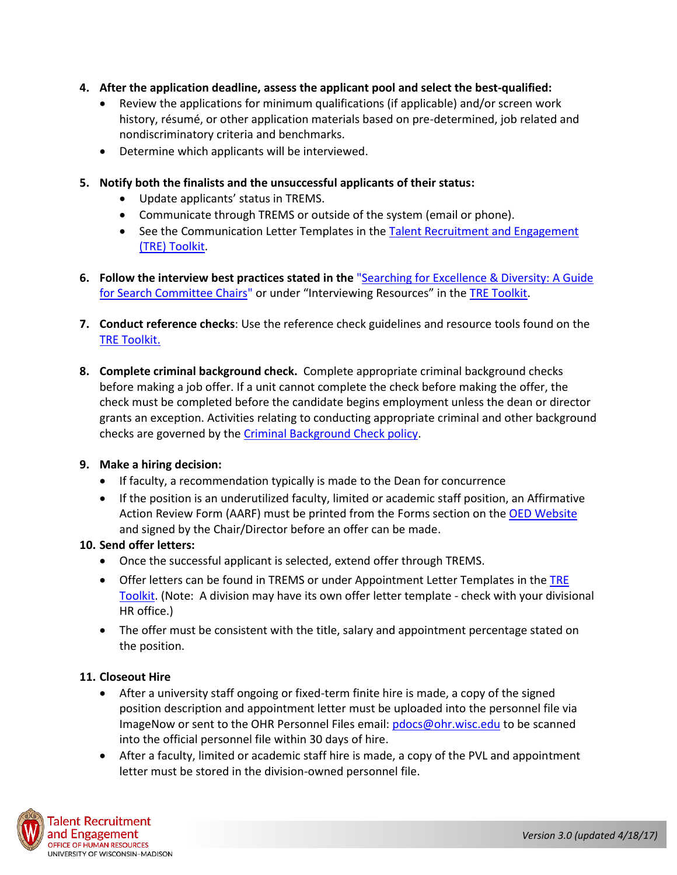### **4. After the application deadline, assess the applicant pool and select the best-qualified:**

- Review the applications for minimum qualifications (if applicable) and/or screen work history, résumé, or other application materials based on pre-determined, job related and nondiscriminatory criteria and benchmarks.
- Determine which applicants will be interviewed.
- **5. Notify both the finalists and the unsuccessful applicants of their status:**
	- Update applicants' status in TREMS.
	- Communicate through TREMS or outside of the system (email or phone).
	- See the Communication Letter Templates in the Talent Recruitment and Engagement [\(TRE\) Toolkit.](http://tre.ohr.wisc.edu/)
- **6. Follow the interview best practices stated in the** ["Searching for Excellence & Diversity: A Guide](http://wiseli.engr.wisc.edu/searchguidebooks.php)  [for Search Committee Chairs"](http://wiseli.engr.wisc.edu/searchguidebooks.php) or under "Interviewing Resources" in the [TRE Toolkit.](http://tre.ohr.wisc.edu/)
- **7. Conduct reference checks**: Use the reference check guidelines and resource tools found on the **[TRE Toolkit.](http://tre.ohr.wisc.edu/)**
- **8. Complete criminal background check.** Complete appropriate criminal background checks before making a job offer. If a unit cannot complete the check before making the offer, the check must be completed before the candidate begins employment unless the dean or director grants an exception. Activities relating to conducting appropriate criminal and other background checks are governed by the [Criminal Background Check policy.](http://www.ohr.wisc.edu/HR_Memos/UW-Madison%20Criminal%20Background%20Check%20Policies%20&%20Procedures%2011-26-07.pdf)

#### **9. Make a hiring decision:**

- If faculty, a recommendation typically is made to the Dean for concurrence
- If the position is an underutilized faculty, limited or academic staff position, an Affirmative Action Review Form (AARF) must be printed from the Forms section on the [OED Website](http://www.oed.wisc.edu/forms/aarf.pdf) and signed by the Chair/Director before an offer can be made.

#### **10. Send offer letters:**

- Once the successful applicant is selected, extend offer through TREMS.
- Offer letters can be found in TREMS or under Appointment Letter Templates in the TRE [Toolkit.](http://tre.ohr.wisc.edu/) (Note: A division may have its own offer letter template - check with your divisional HR office.)
- The offer must be consistent with the title, salary and appointment percentage stated on the position.

#### **11. Closeout Hire**

- After a university staff ongoing or fixed-term finite hire is made, a copy of the signed position description and appointment letter must be uploaded into the personnel file via ImageNow or sent to the OHR Personnel Files email: [pdocs@ohr.wisc.edu](mailto:pdocs@ohr.wisc.edu) to be scanned into the official personnel file within 30 days of hire.
- After a faculty, limited or academic staff hire is made, a copy of the PVL and appointment letter must be stored in the division-owned personnel file.